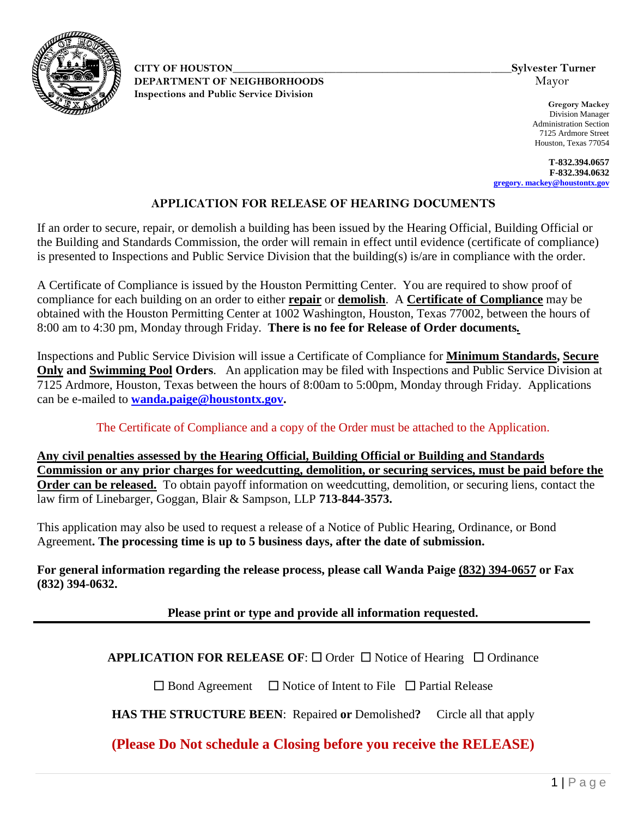

**CITY OF HOUSTON\_\_\_\_\_\_\_\_\_\_\_\_\_\_\_\_\_\_\_\_\_\_\_\_\_\_\_\_\_\_\_\_\_\_\_\_\_\_\_\_\_\_\_\_\_\_\_\_\_\_\_\_\_\_Sylvester Turner DEPARTMENT OF NEIGHBORHOODS** Mayor **Inspections and Public Service Division** 

**Gregory Mackey** Division Manager Administration Section 7125 Ardmore Street Houston, Texas 77054

**T-832.394.0657 F-832.394.0632 [gregory. mackey@houstontx.gov](http://www.houstontx.gov/)**

## **APPLICATION FOR RELEASE OF HEARING DOCUMENTS**

If an order to secure, repair, or demolish a building has been issued by the Hearing Official, Building Official or the Building and Standards Commission, the order will remain in effect until evidence (certificate of compliance) is presented to Inspections and Public Service Division that the building(s) is/are in compliance with the order.

A Certificate of Compliance is issued by the Houston Permitting Center. You are required to show proof of compliance for each building on an order to either **repair** or **demolish**. A **Certificate of Compliance** may be obtained with the Houston Permitting Center at 1002 Washington, Houston, Texas 77002, between the hours of 8:00 am to 4:30 pm, Monday through Friday. **There is no fee for Release of Order documents***.*

Inspections and Public Service Division will issue a Certificate of Compliance for **Minimum Standards, Secure Only and Swimming Pool Orders**. An application may be filed with Inspections and Public Service Division at 7125 Ardmore, Houston, Texas between the hours of 8:00am to 5:00pm, Monday through Friday. Applications can be e-mailed to **[wanda.paige@houstontx.gov.](mailto:wanda.paige@houstontx.gov)**

## The Certificate of Compliance and a copy of the Order must be attached to the Application.

**Any civil penalties assessed by the Hearing Official, Building Official or Building and Standards Commission or any prior charges for weedcutting, demolition, or securing services, must be paid before the Order can be released.** To obtain payoff information on weedcutting, demolition, or securing liens, contact the law firm of Linebarger, Goggan, Blair & Sampson, LLP **713-844-3573.** 

This application may also be used to request a release of a Notice of Public Hearing, Ordinance, or Bond Agreement**. The processing time is up to 5 business days, after the date of submission.** 

**For general information regarding the release process, please call Wanda Paige (832) 394-0657 or Fax (832) 394-0632.**

## **Please print or type and provide all information requested.**

## **APPLICATION FOR RELEASE OF:**  $\Box$  Order  $\Box$  Notice of Hearing  $\Box$  Ordinance

 $\square$  Bond Agreement  $\square$  Notice of Intent to File  $\square$  Partial Release

**HAS THE STRUCTURE BEEN**:Repaired **or** Demolished**?** Circle all that apply

**(Please Do Not schedule a Closing before you receive the RELEASE)**